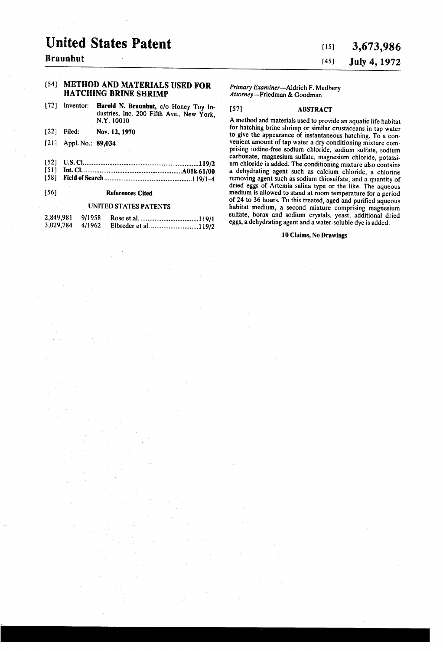# United States Patent

## [54] METHOD AND MATERIALS USED FOR HATCHING BRINE SHRIMP

- [72] Inventor: Harold N. Braunhut, c/o Honey Toy ln dustries, Inc. 200 Fifth Ave., New York, NY. 10010
- [22] Filed: Nov. 12,1970
- [21] Appl.No.: 89,034
- [52] 0.8. CI ................................................................ ..119/2
- [51] Int. Cl. ............. .. [58] Field of Search ...................... .. .... ..119/1-4

### [56] References Cited

#### UNITED STATES PATENTS

| 2,849,981 9/1958 |  |
|------------------|--|
| 3,029,784 4/1962 |  |

# [151 3,673,986 [451 July4, 1972

Primary Examiner-Aldrich F. Medbery Attorney—Friedman & Goodman

#### [57] ABSTRACT

A method and materials used to provide an aquatic life habitat for hatching brine shrimp or similar crustaceans in tap water to give the appearance of instantaneous hatching. To a convenient amount of tap water a dry conditioning mixture comprising iodine-free sodium chloride, sodium sulfate, sodium um chloride is added. The conditioning mixture also contains a dehydrating agent such as calcium chloride, a chlorine removing agent such as sodium thiosulfate, and a quantity of dried eggs of Artemia salina type or the like. The aqueous medium is allowed to stand at room temperature for a period of 24 to 36 hours. To this treated, aged and purified aqueous habitat medium, a second mixture comprising magnesium sulfate, borax and sodium crystals, yeast, additional dried eggs, a dehydrating agent and a water-soluble dye is added.

#### 10 Claims, N0 Drawings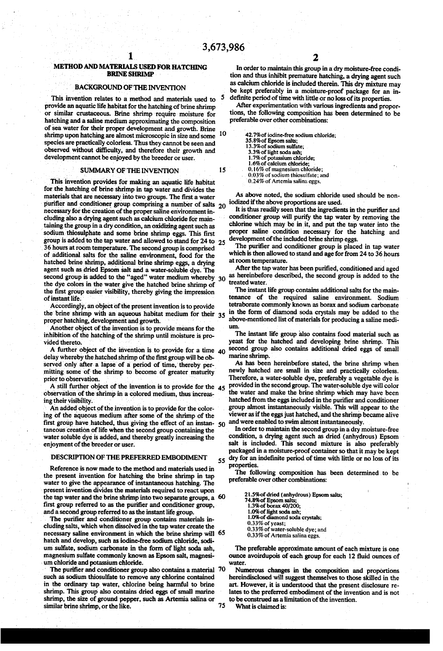5

10

15

55

75

# $\mathbf{I}_{\mathbb{Z}}$ METHOD AND MATERIALS USED FOR HATCHING \ BRINE SHRIMP '

### BACKGROUND OF THE INVENTION

This invention relates to a method and materials used to provide an aquatic life habitat for the hatching of brine shrimp or similar crustaceous. Brine shrimp require moisture for hatching and a saline medium approximating the composition of sea water for their proper development and growth. Brine species are practically colorless. Thus they cannot be seen and observed without difficulty, and therefore their growth and development cannot be enjoyed'by the breeder or user.

#### SUMMARY OF THE INVENTION

'This invention provides for making an aquatic life habitat for the hatching of brine shrimp in tap water and divides the materials that are necessary into two groups. The first a water purifier and conditioner group comprising a number of salts  $20$ necessary for the creation of the proper saline environment including also a drying agent such as calcium chloride for maintaining the group in a dry condition, an oxidizing agent such as sodium thiosulphate and some brine shrimp eggs. This first 36 hours at room temperature. The second group is comprised of additional salts for the saline environment, food for the hatched brine shrimp, additional brine shrimp eggs, a drying agent such as dried Epsom salt and a water-soluble dye. The second group is added to the "aged" water medium whereby 30 the dye colors in the water give the hatched brine shrimp of the first group easier visibility, thereby giving the impression of instant life. group is added to the tap water and allowed to stand for 24 to 25

Accordingly, an object of the present invention is to provide the brine shrimp with an aqueous habitat medium for their 35 proper hatching, development and growth. '

Another object of the invention is to provide means for the inhibition of the hatching of the shrimp until moisture is provided thereto.

A further object of the invention is to provide for a time 40 delay whereby the hatched shrimp of the first group will be observed only after a lapse of a period of time, thereby permitting some of the shrimp to become of greater maturity prior to observation.

\_ A still further object of the invention is to provide for the 45 observation of the shrimp in a colored medium, thus increasing their visibility.

An added object of the invention is to provide for the coloring of the aqueous medium after some'of the shrimp of the first group have hatched, thus giving the effect of an instantaneous creation of life when the second group containing the water soluble dye is added, and thereby greatly increasing the enjoyment of the breeder or user. 50

#### DESCRIPTION OF THE PREFERRED EMBODIMENT

Reference is now made to the method and materials used in the present invention for hatching the brine shrimp in tap water to give the appearance of instantaneous hatching. The present invention divides the materials required to react upon the tap water and the brine shrimp into two separate groups, a 60 first group referred to as the purifier and conditioner group, and a second group referred to as the instant life group.

The purifier and conditioner group contains materials including salts, which when dissolved in the tap water create the necessary saline environment in which the brine shrimp will 65 hatch and develop, such as iodine-free sodium chloride, sodi um' sulfate, sodium carbonate in the form of light soda ash, magnesium sulfate commonly known as Epsom salt, magnesium chloride and potassium chloride.

The purifier and conditioner group also contains a material 70 such as sodium thiosulfate to remove any chlorine contained in the ordinary tap water, chlorine being harmful to brine shrimp. This group also contains dried eggs of small marine shrimp, the size of ground pepper, such as Artemia salina or similar brine shrimp, or the like.

In order to maintain this group in a dry moisture-free condi tion and thus inhibit premature hatching, a drying agent such as calcium chloride is included therein. This dry mixture may be kept preferably in a moisture-proof package for an in definite period of time with little or no loss of its properties.

After experimentation with various ingredients and propor tions, the following composition has been determined to be preferable over other combinations:

42.7%of iodine-free sodium chloride; 35.8%of Epsom salts; l3.3%of sodium sulfate; 3.3%of light soda ash; 1.7% of potassium chloride; 0.16% of magnesium chloride; - 0.03% of sodium thiosulfate; and 0.24% of Artemia salina eggs.

As above noted, the sodium chloride used should be non iodized if the above proportions are used.

It is thus readily seen that the ingredients in the purifier and conditioner group will purify the tap water by removing the chlorine which may be in it, and put the tap water into the proper saline condition necessary for the hatching and development of the included brine shrimp eggs.

The purifier and conditioner group is placed in tap water which is then allowed to stand and age for from 24 to 36 hours at room temperature.

After the tap water has been purified, conditioned and aged as hereinbefore described, the second group is added to the treated water.

The instant life group contains additional salts for the main tenance of the required saline environment. Sodium tetraborate commonly known as borax and sodium carbonate in the form of diamond soda crystals may be added to the above-mentioned list of materials for producing a saline medium.

The instant life group also contains food material such as yeast for the hatched and developing brine shrimp. This second group also contains additional dried eggs of small marine shrimp.

As has been hereinbefore stated, the brine shrimp when newly hatched are small in size and practically colorless. Therefore, a water-soluble dye, preferably a vegetable dye is provided in the second group. The water-soluble dye will color the water and make the brine shrimp which may have been hatched from the eggs included in the purifier and conditioner group almost instantaneously visible. This will appear to the viewer as if the eggs just hatched, and the shrimp became alive and were enabled to swim almost instantaneously.

In order to maintain the second group in a dry moisture-free condition, a drying agent such as dried (anhydrous) Epsom salt is included. This second mixture is also preferably packaged in a moisture-proof container so that it may be kept dry for an indefinite period of time with little or no loss of its properties.

The following composition has been determined to be preferable over other combinations:

21.5%of dried (anhydrous) Epsom salts; 74.8%of Epsom salts; 1.3% of borax 40/200; l.0% of light soda ash;<br>1.0% of diamond soda crystals; 0.33% of yeast; 0.33% of water-soluble dye; and 0.33% of Artemia salina eggs.

The preferable approximate amount of each mixture is one ounce avoirdupois of each group for each 12 fluid ounces of 'water.

Numerous changes in the composition and proportions hereindisclosed will suggest themselves to those skilled in the art. However, it is understood that the present disclosure re lates to the preferred embodiment of the invention and is not to be construed as a limitation of the invention.

What is claimed is: